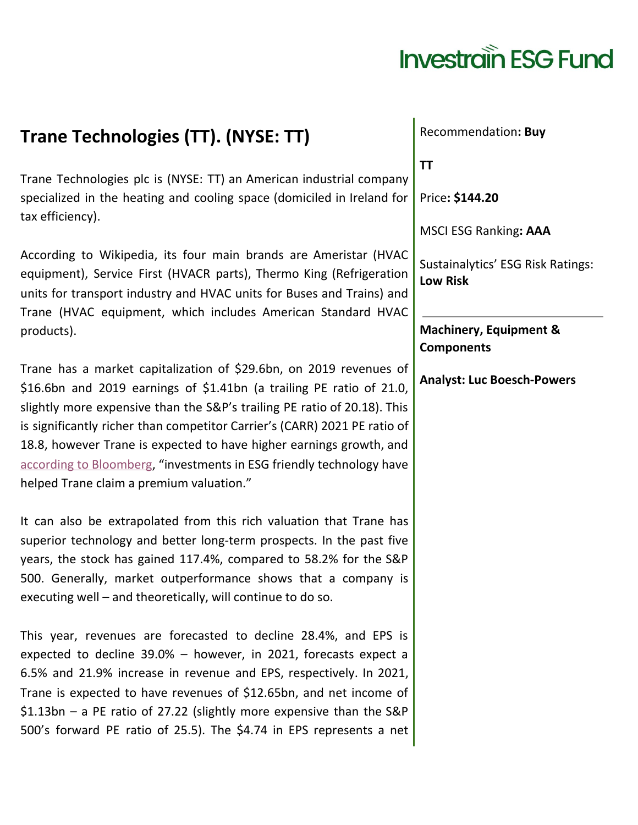#### **Trane Technologies (TT). (NYSE: TT)**

Trane Technologies plc is (NYSE: TT) an American industrial company specialized in the heating and cooling space (domiciled in Ireland for tax efficiency).

According to Wikipedia, its four main brands are Ameristar (HVAC equipment), Service First (HVACR parts), Thermo King (Refrigeration units for transport industry and HVAC units for Buses and Trains) and Trane (HVAC equipment, which includes American Standard HVAC products).

Trane has a market capitalization of \$29.6bn, on 2019 revenues of \$16.6bn and 2019 earnings of \$1.41bn (a trailing PE ratio of 21.0, slightly more expensive than the S&P's trailing PE ratio of 20.18). This is significantly richer than competitor Carrier's (CARR) 2021 PE ratio of 18.8, however Trane is expected to have higher earnings growth, and according to [Bloomberg](https://www.bloomberg.com/opinion/articles/2020-10-26/trane-technologies-ceo-mike-lamach-built-a-company-made-for-a-pandemic), "investments in ESG friendly technology have helped Trane claim a premium valuation."

It can also be extrapolated from this rich valuation that Trane has superior technology and better long-term prospects. In the past five years, the stock has gained 117.4%, compared to 58.2% for the S&P 500. Generally, market outperformance shows that a company is executing well – and theoretically, will continue to do so.

This year, revenues are forecasted to decline 28.4%, and EPS is expected to decline 39.0% – however, in 2021, forecasts expect a 6.5% and 21.9% increase in revenue and EPS, respectively. In 2021, Trane is expected to have revenues of \$12.65bn, and net income of \$1.13bn – a PE ratio of 27.22 (slightly more expensive than the S&P 500's forward PE ratio of 25.5). The \$4.74 in EPS represents a net

Recommendation**: Buy**

**TT**

Price**: \$144.20**

MSCI ESG Ranking**: AAA**

Sustainalytics' ESG Risk Ratings: **Low Risk**

**Machinery, Equipment & Components**

**Analyst: Luc Boesch-Powers**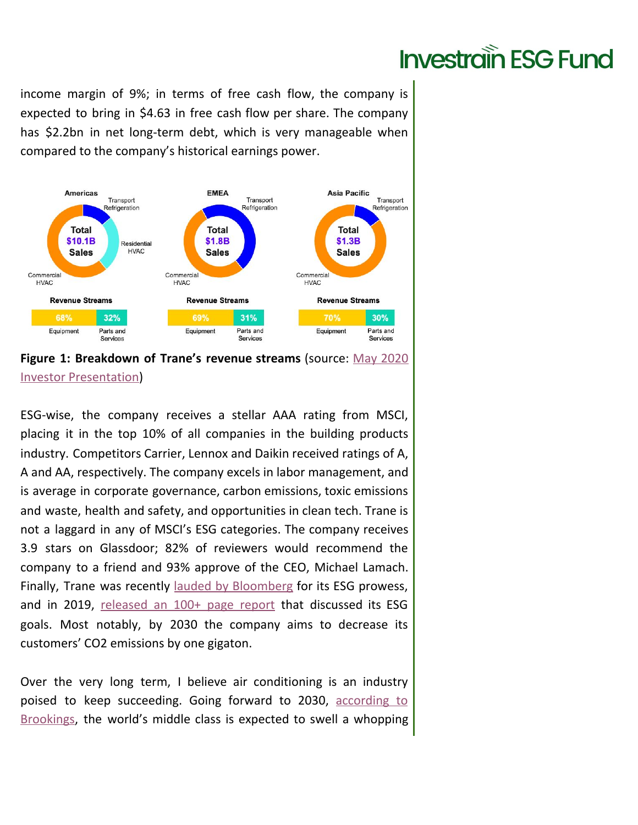income margin of 9%; in terms of free cash flow, the company is expected to bring in \$4.63 in free cash flow per share. The company has \$2.2bn in net long-term debt, which is very manageable when compared to the company's historical earnings power.





ESG-wise, the company receives a stellar AAA rating from MSCI, placing it in the top 10% of all companies in the building products industry. Competitors Carrier, Lennox and Daikin received ratings of A, A and AA, respectively. The company excels in labor management, and is average in corporate governance, carbon emissions, toxic emissions and waste, health and safety, and opportunities in clean tech. Trane is not a laggard in any of MSCI's ESG categories. The company receives 3.9 stars on Glassdoor; 82% of reviewers would recommend the company to a friend and 93% approve of the CEO, Michael Lamach. Finally, Trane was recently [l](https://www.bloomberg.com/opinion/articles/2020-10-26/trane-technologies-ceo-mike-lamach-built-a-company-made-for-a-pandemic)auded by [Bloomberg](https://www.bloomberg.com/opinion/articles/2020-10-26/trane-technologies-ceo-mike-lamach-built-a-company-made-for-a-pandemic) for its ESG prowess, and in 2019, [released](https://www.tranetechnologies.com/content/dam/cs-corporate/pdf/sustainability/annual/2019-ESG-Report.pdf) an 100+ page report that discussed its ESG goals. Most notably, by 2030 the company aims to decrease its customers' CO2 emissions by one gigaton.

Over the very long term, I believe air conditioning is an industry poised to keep succeeding. Going forward to 2030, [according](https://www.brookings.edu/blog/future-development/2018/09/27/a-global-tipping-point-half-the-world-is-now-middle-class-or-wealthier/) to [Brookings,](https://www.brookings.edu/blog/future-development/2018/09/27/a-global-tipping-point-half-the-world-is-now-middle-class-or-wealthier/) the world's middle class is expected to swell a whopping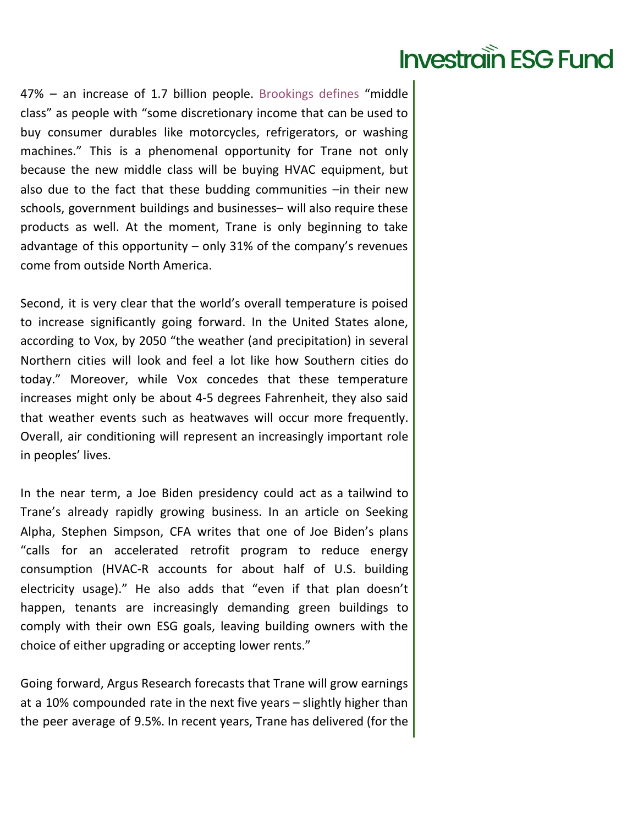47% – an increase of 1.7 billion people. Brookings defines "middle class" as people with "some discretionary income that can be used to buy consumer durables like motorcycles, refrigerators, or washing machines." This is a phenomenal opportunity for Trane not only because the new middle class will be buying HVAC equipment, but also due to the fact that these budding communities –in their new schools, government buildings and businesses– will also require these products as well. At the moment, Trane is only beginning to take advantage of this opportunity – only 31% of the company's revenues come from outside North America.

Second, it is very clear that the world's overall temperature is poised to increase significantly going forward. In the United States alone, according to Vox, by 2050 "the weather (and precipitation) in several Northern cities will look and feel a lot like how Southern cities do today." Moreover, while Vox concedes that these temperature increases might only be about 4-5 degrees Fahrenheit, they also said that weather events such as heatwaves will occur more frequently. Overall, air conditioning will represent an increasingly important role in peoples' lives.

In the near term, a Joe Biden presidency could act as a tailwind to Trane's already rapidly growing business. In an article on Seeking Alpha, Stephen Simpson, CFA writes that one of Joe Biden's plans "calls for an accelerated retrofit program to reduce energy consumption (HVAC-R accounts for about half of U.S. building electricity usage)." He also adds that "even if that plan doesn't happen, tenants are increasingly demanding green buildings to comply with their own ESG goals, leaving building owners with the choice of either upgrading or accepting lower rents."

Going forward, Argus Research forecasts that Trane will grow earnings at a 10% compounded rate in the next five years – slightly higher than the peer average of 9.5%. In recent years, Trane has delivered (for the